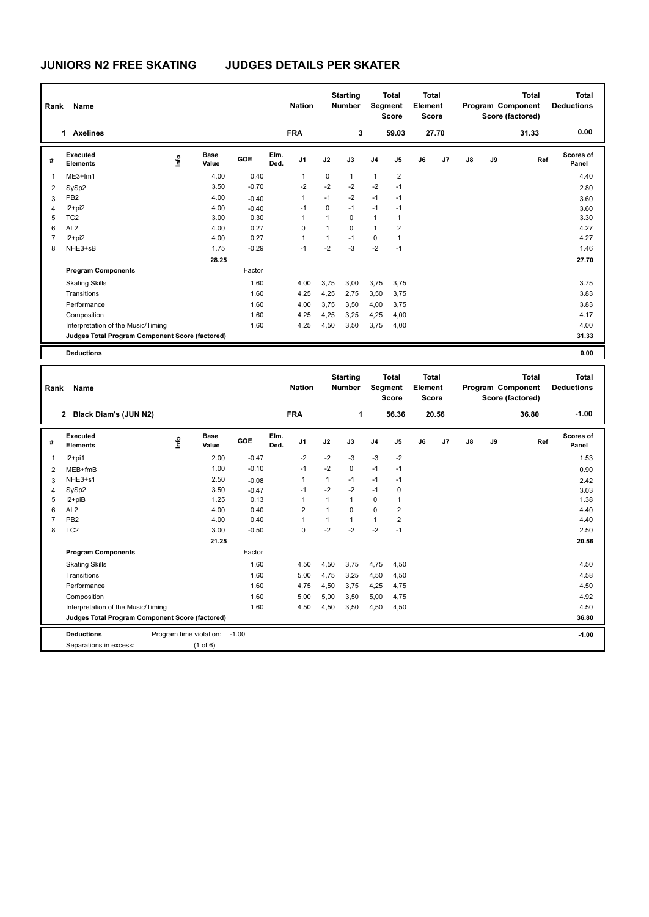## **JUNIORS N2 FREE SKATING JUDGES DETAILS PER SKATER**

| Rank | Name                                            |      |                      |            |              | <b>Nation</b> |             | <b>Starting</b><br><b>Number</b> |                | <b>Total</b><br>Segment<br><b>Score</b> | <b>Total</b><br>Element<br><b>Score</b> |       |               |    | <b>Total</b><br>Program Component<br>Score (factored) | <b>Total</b><br><b>Deductions</b> |
|------|-------------------------------------------------|------|----------------------|------------|--------------|---------------|-------------|----------------------------------|----------------|-----------------------------------------|-----------------------------------------|-------|---------------|----|-------------------------------------------------------|-----------------------------------|
|      | 1 Axelines                                      |      |                      |            |              | <b>FRA</b>    |             | 3                                |                | 59.03                                   |                                         | 27.70 |               |    | 31.33                                                 | 0.00                              |
| #    | Executed<br><b>Elements</b>                     | ١nf٥ | <b>Base</b><br>Value | <b>GOE</b> | Elm.<br>Ded. | J1            | J2          | J3                               | J <sub>4</sub> | J5                                      | J6                                      | J7    | $\mathsf{J}8$ | J9 | Ref                                                   | Scores of<br>Panel                |
| 1    | ME3+fm1                                         |      | 4.00                 | 0.40       |              | 1             | $\mathbf 0$ | 1                                | $\mathbf{1}$   | 2                                       |                                         |       |               |    |                                                       | 4.40                              |
| 2    | SySp2                                           |      | 3.50                 | $-0.70$    |              | $-2$          | $-2$        | $-2$                             | $-2$           | $-1$                                    |                                         |       |               |    |                                                       | 2.80                              |
| 3    | PB <sub>2</sub>                                 |      | 4.00                 | $-0.40$    |              | 1             | $-1$        | $-2$                             | $-1$           | $-1$                                    |                                         |       |               |    |                                                       | 3.60                              |
| 4    | $12+pi2$                                        |      | 4.00                 | $-0.40$    |              | $-1$          | 0           | $-1$                             | $-1$           | $-1$                                    |                                         |       |               |    |                                                       | 3.60                              |
| 5    | TC <sub>2</sub>                                 |      | 3.00                 | 0.30       |              | 1             | 1           | 0                                | $\mathbf{1}$   | 1                                       |                                         |       |               |    |                                                       | 3.30                              |
| 6    | AL <sub>2</sub>                                 |      | 4.00                 | 0.27       |              | 0             | $\mathbf 1$ | 0                                | $\mathbf{1}$   | 2                                       |                                         |       |               |    |                                                       | 4.27                              |
| 7    | $12+pi2$                                        |      | 4.00                 | 0.27       |              | 1             | 1           | $-1$                             | 0              | 1                                       |                                         |       |               |    |                                                       | 4.27                              |
| 8    | NHE3+sB                                         |      | 1.75                 | $-0.29$    |              | $-1$          | $-2$        | $-3$                             | $-2$           | $-1$                                    |                                         |       |               |    |                                                       | 1.46                              |
|      |                                                 |      | 28.25                |            |              |               |             |                                  |                |                                         |                                         |       |               |    |                                                       | 27.70                             |
|      | <b>Program Components</b>                       |      |                      | Factor     |              |               |             |                                  |                |                                         |                                         |       |               |    |                                                       |                                   |
|      | <b>Skating Skills</b>                           |      |                      | 1.60       |              | 4,00          | 3,75        | 3,00                             | 3,75           | 3,75                                    |                                         |       |               |    |                                                       | 3.75                              |
|      | Transitions                                     |      |                      | 1.60       |              | 4,25          | 4,25        | 2,75                             | 3,50           | 3,75                                    |                                         |       |               |    |                                                       | 3.83                              |
|      | Performance                                     |      |                      | 1.60       |              | 4,00          | 3,75        | 3,50                             | 4,00           | 3,75                                    |                                         |       |               |    |                                                       | 3.83                              |
|      | Composition                                     |      |                      | 1.60       |              | 4,25          | 4,25        | 3,25                             | 4,25           | 4,00                                    |                                         |       |               |    |                                                       | 4.17                              |
|      | Interpretation of the Music/Timing              |      |                      | 1.60       |              | 4,25          | 4,50        | 3,50                             | 3,75           | 4,00                                    |                                         |       |               |    |                                                       | 4.00                              |
|      | Judges Total Program Component Score (factored) |      |                      |            |              |               |             |                                  |                |                                         |                                         |       |               |    |                                                       | 31.33                             |
|      | <b>Deductions</b>                               |      |                      |            |              |               |             |                                  |                |                                         |                                         |       |               |    |                                                       | 0.00                              |

| Rank                                            | <b>Name</b>                             |                         |                      |         |              | <b>Nation</b>  |              | <b>Starting</b><br><b>Number</b> | Segment        | <b>Total</b><br><b>Score</b> | <b>Total</b><br>Element<br><b>Score</b> |                |               |    | <b>Total</b><br>Program Component<br>Score (factored) | <b>Total</b><br><b>Deductions</b> |
|-------------------------------------------------|-----------------------------------------|-------------------------|----------------------|---------|--------------|----------------|--------------|----------------------------------|----------------|------------------------------|-----------------------------------------|----------------|---------------|----|-------------------------------------------------------|-----------------------------------|
|                                                 | Black Diam's (JUN N2)<br>$\overline{2}$ |                         |                      |         |              | <b>FRA</b>     |              | 1                                |                | 56.36                        |                                         | 20.56          |               |    | 36.80                                                 | $-1.00$                           |
| #                                               | <b>Executed</b><br><b>Elements</b>      | <u>lnfo</u>             | <b>Base</b><br>Value | GOE     | Elm.<br>Ded. | J <sub>1</sub> | J2           | J3                               | J <sub>4</sub> | J5                           | J6                                      | J <sub>7</sub> | $\mathsf{J}8$ | J9 | Ref                                                   | Scores of<br>Panel                |
| $\mathbf{1}$                                    | $12+pi1$                                |                         | 2.00                 | $-0.47$ |              | $-2$           | $-2$         | $-3$                             | $-3$           | $-2$                         |                                         |                |               |    |                                                       | 1.53                              |
| 2                                               | MEB+fmB                                 |                         | 1.00                 | $-0.10$ |              | $-1$           | $-2$         | 0                                | $-1$           | $-1$                         |                                         |                |               |    |                                                       | 0.90                              |
| 3                                               | NHE3+s1                                 |                         | 2.50                 | $-0.08$ |              | $\mathbf{1}$   | $\mathbf{1}$ | $-1$                             | $-1$           | $-1$                         |                                         |                |               |    |                                                       | 2.42                              |
| 4                                               | SySp2                                   |                         | 3.50                 | $-0.47$ |              | $-1$           | $-2$         | $-2$                             | $-1$           | 0                            |                                         |                |               |    |                                                       | 3.03                              |
| 5                                               | I2+piB                                  |                         | 1.25                 | 0.13    |              | 1              |              | 1                                | $\Omega$       | 1                            |                                         |                |               |    |                                                       | 1.38                              |
| 6                                               | AL <sub>2</sub>                         |                         | 4.00                 | 0.40    |              | $\overline{2}$ |              | 0                                | $\mathbf 0$    | $\overline{2}$               |                                         |                |               |    |                                                       | 4.40                              |
| $\overline{7}$                                  | PB <sub>2</sub>                         |                         | 4.00                 | 0.40    |              | 1              |              | 1                                | $\mathbf{1}$   | 2                            |                                         |                |               |    |                                                       | 4.40                              |
| 8                                               | TC <sub>2</sub>                         |                         | 3.00                 | $-0.50$ |              | 0              | $-2$         | $-2$                             | $-2$           | $-1$                         |                                         |                |               |    |                                                       | 2.50                              |
|                                                 |                                         |                         | 21.25                |         |              |                |              |                                  |                |                              |                                         |                |               |    |                                                       | 20.56                             |
|                                                 | <b>Program Components</b>               |                         |                      | Factor  |              |                |              |                                  |                |                              |                                         |                |               |    |                                                       |                                   |
|                                                 | <b>Skating Skills</b>                   |                         |                      | 1.60    |              | 4,50           | 4,50         | 3.75                             | 4,75           | 4,50                         |                                         |                |               |    |                                                       | 4.50                              |
|                                                 | Transitions                             |                         |                      | 1.60    |              | 5,00           | 4,75         | 3.25                             | 4,50           | 4,50                         |                                         |                |               |    |                                                       | 4.58                              |
|                                                 | Performance                             |                         |                      | 1.60    |              | 4,75           | 4,50         | 3,75                             | 4,25           | 4,75                         |                                         |                |               |    |                                                       | 4.50                              |
|                                                 | Composition                             |                         |                      | 1.60    |              | 5,00           | 5,00         | 3,50                             | 5,00           | 4,75                         |                                         |                |               |    |                                                       | 4.92                              |
|                                                 | Interpretation of the Music/Timing      |                         |                      | 1.60    |              | 4,50           | 4,50         | 3,50                             | 4,50           | 4,50                         |                                         |                |               |    |                                                       | 4.50                              |
| Judges Total Program Component Score (factored) |                                         |                         |                      |         |              |                |              |                                  |                |                              |                                         |                | 36.80         |    |                                                       |                                   |
|                                                 | <b>Deductions</b>                       | Program time violation: |                      | $-1.00$ |              |                |              |                                  |                |                              |                                         |                |               |    |                                                       | $-1.00$                           |
|                                                 | Separations in excess:                  |                         | $(1$ of 6)           |         |              |                |              |                                  |                |                              |                                         |                |               |    |                                                       |                                   |